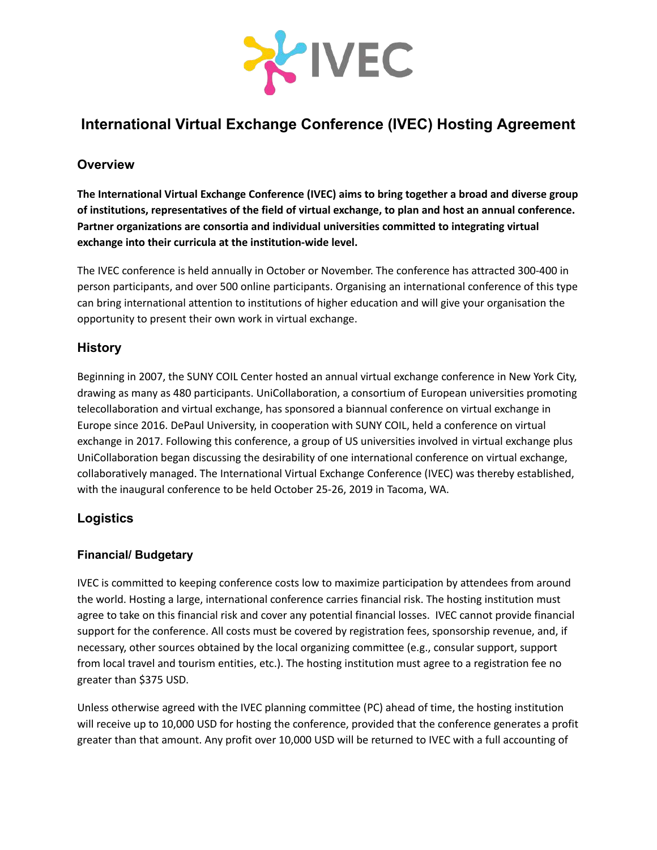

# **International Virtual Exchange Conference (IVEC) Hosting Agreement**

## **Overview**

**The International Virtual Exchange Conference (IVEC) aims to bring together a broad and diverse group of institutions, representatives of the field of virtual exchange, to plan and host an annual conference. Partner organizations are consortia and individual universities committed to integrating virtual exchange into their curricula at the institution-wide level.**

The IVEC conference is held annually in October or November. The conference has attracted 300-400 in person participants, and over 500 online participants. Organising an international conference of this type can bring international attention to institutions of higher education and will give your organisation the opportunity to present their own work in virtual exchange.

## **History**

Beginning in 2007, the SUNY COIL Center hosted an annual virtual exchange conference in New York City, drawing as many as 480 participants. UniCollaboration, a consortium of European universities promoting telecollaboration and virtual exchange, has sponsored a biannual conference on virtual exchange in Europe since 2016. DePaul University, in cooperation with SUNY COIL, held a conference on virtual exchange in 2017. Following this conference, a group of US universities involved in virtual exchange plus UniCollaboration began discussing the desirability of one international conference on virtual exchange, collaboratively managed. The International Virtual Exchange Conference (IVEC) was thereby established, with the inaugural conference to be held October 25-26, 2019 in Tacoma, WA.

## **Logistics**

### **Financial/ Budgetary**

IVEC is committed to keeping conference costs low to maximize participation by attendees from around the world. Hosting a large, international conference carries financial risk. The hosting institution must agree to take on this financial risk and cover any potential financial losses. IVEC cannot provide financial support for the conference. All costs must be covered by registration fees, sponsorship revenue, and, if necessary, other sources obtained by the local organizing committee (e.g., consular support, support from local travel and tourism entities, etc.). The hosting institution must agree to a registration fee no greater than \$375 USD.

Unless otherwise agreed with the IVEC planning committee (PC) ahead of time, the hosting institution will receive up to 10,000 USD for hosting the conference, provided that the conference generates a profit greater than that amount. Any profit over 10,000 USD will be returned to IVEC with a full accounting of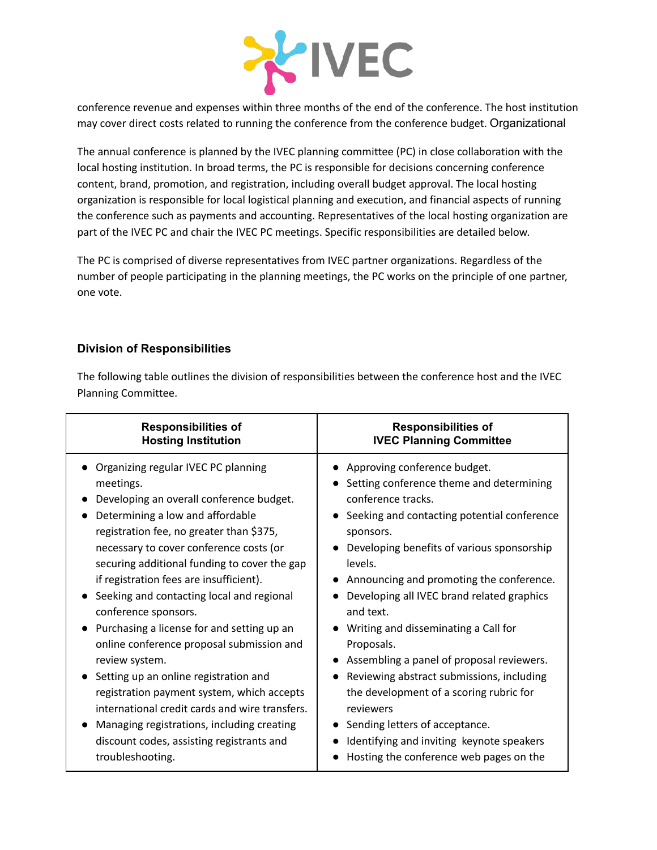

conference revenue and expenses within three months of the end of the conference. The host institution may cover direct costs related to running the conference from the conference budget. Organizational

The annual conference is planned by the IVEC planning committee (PC) in close collaboration with the local hosting institution. In broad terms, the PC is responsible for decisions concerning conference content, brand, promotion, and registration, including overall budget approval. The local hosting organization is responsible for local logistical planning and execution, and financial aspects of running the conference such as payments and accounting. Representatives of the local hosting organization are part of the IVEC PC and chair the IVEC PC meetings. Specific responsibilities are detailed below.

The PC is comprised of diverse representatives from IVEC partner organizations. Regardless of the number of people participating in the planning meetings, the PC works on the principle of one partner, one vote.

### **Division of Responsibilities**

The following table outlines the division of responsibilities between the conference host and the IVEC Planning Committee.

| <b>Responsibilities of</b>                                                                                                                                                                                                                                                                                                                                                                                                                                                                                                                                                                                                                                                                                                                                     | <b>Responsibilities of</b>                                                                                                                                                                                                                                                                                                                                                                                                                                                                                                                                                                                                                                                |
|----------------------------------------------------------------------------------------------------------------------------------------------------------------------------------------------------------------------------------------------------------------------------------------------------------------------------------------------------------------------------------------------------------------------------------------------------------------------------------------------------------------------------------------------------------------------------------------------------------------------------------------------------------------------------------------------------------------------------------------------------------------|---------------------------------------------------------------------------------------------------------------------------------------------------------------------------------------------------------------------------------------------------------------------------------------------------------------------------------------------------------------------------------------------------------------------------------------------------------------------------------------------------------------------------------------------------------------------------------------------------------------------------------------------------------------------------|
| <b>Hosting Institution</b>                                                                                                                                                                                                                                                                                                                                                                                                                                                                                                                                                                                                                                                                                                                                     | <b>IVEC Planning Committee</b>                                                                                                                                                                                                                                                                                                                                                                                                                                                                                                                                                                                                                                            |
| • Organizing regular IVEC PC planning<br>meetings.<br>Developing an overall conference budget.<br>Determining a low and affordable<br>registration fee, no greater than \$375,<br>necessary to cover conference costs (or<br>securing additional funding to cover the gap<br>if registration fees are insufficient).<br>Seeking and contacting local and regional<br>conference sponsors.<br>Purchasing a license for and setting up an<br>online conference proposal submission and<br>review system.<br>Setting up an online registration and<br>registration payment system, which accepts<br>international credit cards and wire transfers.<br>Managing registrations, including creating<br>discount codes, assisting registrants and<br>troubleshooting. | Approving conference budget.<br>Setting conference theme and determining<br>conference tracks.<br>Seeking and contacting potential conference<br>$\bullet$<br>sponsors.<br>Developing benefits of various sponsorship<br>levels.<br>Announcing and promoting the conference.<br>Developing all IVEC brand related graphics<br>and text.<br>Writing and disseminating a Call for<br>Proposals.<br>Assembling a panel of proposal reviewers.<br>Reviewing abstract submissions, including<br>the development of a scoring rubric for<br>reviewers<br>Sending letters of acceptance.<br>Identifying and inviting keynote speakers<br>Hosting the conference web pages on the |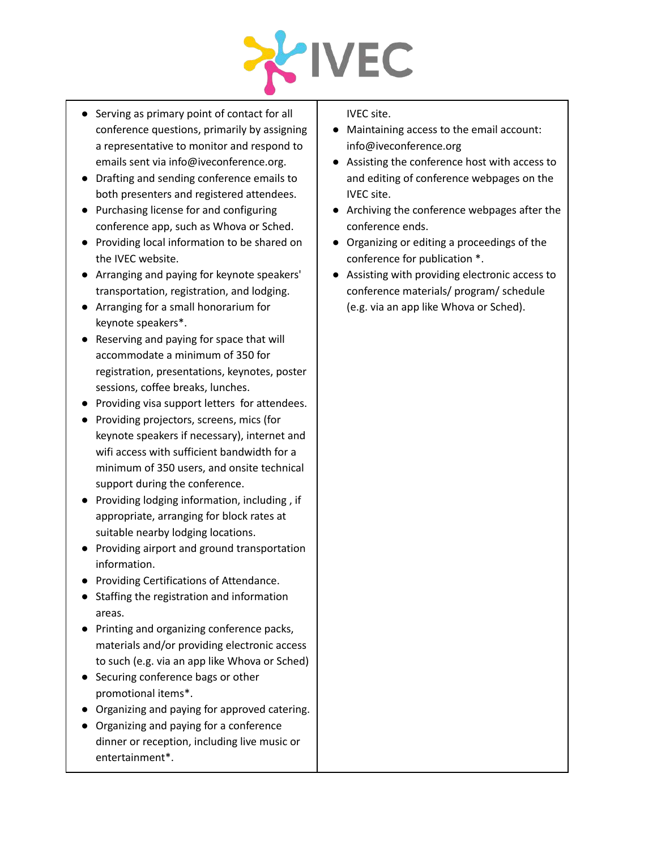

- Serving as primary point of contact for all conference questions, primarily by assigning a representative to monitor and respond to emails sent via [info@iveconference.org](mailto:info@iveconference.org).
- Drafting and sending conference emails to both presenters and registered attendees.
- Purchasing license for and configuring conference app, such as Whova or Sched.
- Providing local information to be shared on the IVEC website.
- Arranging and paying for keynote speakers' transportation, registration, and lodging.
- Arranging for a small honorarium for keynote speakers\*.
- Reserving and paying for space that will accommodate a minimum of 350 for registration, presentations, keynotes, poster sessions, coffee breaks, lunches.
- Providing visa support letters for attendees.
- Providing projectors, screens, mics (for keynote speakers if necessary), internet and wifi access with sufficient bandwidth for a minimum of 350 users, and onsite technical support during the conference.
- Providing lodging information, including , if appropriate, arranging for block rates at suitable nearby lodging locations.
- Providing airport and ground transportation information.
- Providing Certifications of Attendance.
- Staffing the registration and information areas.
- Printing and organizing conference packs, materials and/or providing electronic access to such (e.g. via an app like Whova or Sched)
- Securing conference bags or other promotional items\*.
- Organizing and paying for approved catering.
- Organizing and paying for a conference dinner or reception, including live music or entertainment\*.

IVEC site.

- Maintaining access to the email account: info@iveconference.org
- Assisting the conference host with access to and editing of conference webpages on the IVEC site.
- Archiving the conference webpages after the conference ends.
- Organizing or editing a proceedings of the conference for publication \*.
- Assisting with providing electronic access to conference materials/ program/ schedule (e.g. via an app like Whova or Sched).